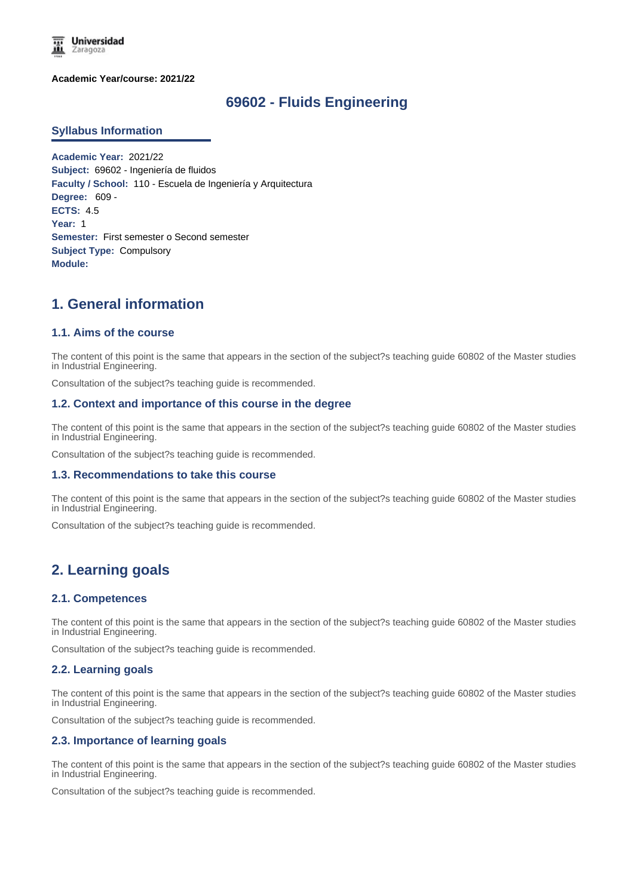

**Academic Year/course: 2021/22**

## **69602 - Fluids Engineering**

#### **Syllabus Information**

**Academic Year:** 2021/22 **Subject:** 69602 - Ingeniería de fluidos **Faculty / School:** 110 - Escuela de Ingeniería y Arquitectura **Degree:** 609 - **ECTS:** 4.5 **Year:** 1 **Semester:** First semester o Second semester **Subject Type:** Compulsory **Module:**

# **1. General information**

## **1.1. Aims of the course**

The content of this point is the same that appears in the section of the subject?s teaching guide 60802 of the Master studies in Industrial Engineering.

Consultation of the subject?s teaching guide is recommended.

#### **1.2. Context and importance of this course in the degree**

The content of this point is the same that appears in the section of the subject?s teaching guide 60802 of the Master studies in Industrial Engineering.

Consultation of the subject?s teaching guide is recommended.

#### **1.3. Recommendations to take this course**

The content of this point is the same that appears in the section of the subject?s teaching guide 60802 of the Master studies in Industrial Engineering.

Consultation of the subject?s teaching guide is recommended.

# **2. Learning goals**

#### **2.1. Competences**

The content of this point is the same that appears in the section of the subject?s teaching guide 60802 of the Master studies in Industrial Engineering.

Consultation of the subject?s teaching guide is recommended.

#### **2.2. Learning goals**

The content of this point is the same that appears in the section of the subject?s teaching guide 60802 of the Master studies in Industrial Engineering.

Consultation of the subject?s teaching guide is recommended.

#### **2.3. Importance of learning goals**

The content of this point is the same that appears in the section of the subject?s teaching guide 60802 of the Master studies in Industrial Engineering.

Consultation of the subject?s teaching guide is recommended.